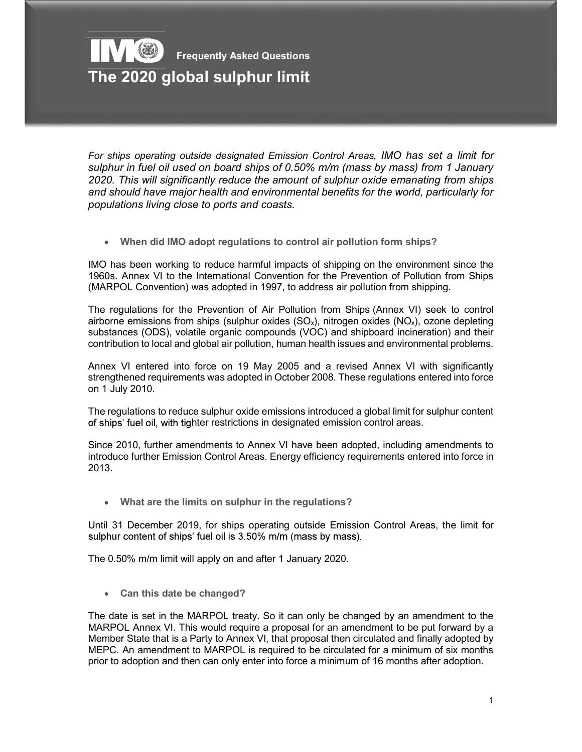## Frequently Asked Questions The 2020 global sulphur limit

For ships operating outside designated Emission Control Areas, IMO has set a limit for sulphur in fuel oil used on board ships of 0.50% m/m (mass by mass) from 1 January 2020. This will significantly reduce the amount of sulphur oxide emanating from ships and should have major health and environmental benefits for the world, particularly for populations living close to ports and coasts.

When did IMO adopt regulations to control air pollution form ships?  $\bullet$ 

IMO has been working to reduce harmful impacts of shipping on the environment since the 1960s. Annex VI to the International Convention for the Prevention of Pollution from Ships (MARPOL Convention) was adopted in 1997, to address air pollution from shipping.

The regulations for the Prevention of Air Pollution from Ships (Annex VI) seek to control airborne emissions from ships (sulphur oxides  $(SO_x)$ , nitrogen oxides  $(NO_x)$ , ozone depleting substances (ODS), volatile organic compounds (VOC) and shipboard incineration) and their contribution to local and global air pollution, human health issues and environmental problems.

Annex VI entered into force on 19 May 2005 and a revised Annex VI with significantly strengthened requirements was adopted in October 2008. These regulations entered into force on 1 July 2010.

The regulations to reduce sulphur oxide emissions introduced a global limit for sulphur content of ships' fuel oil, with tighter restrictions in designated emission control areas.

Since 2010, further amendments to Annex VI have been adopted, including amendments to introduce further Emission Control Areas. Energy efficiency requirements entered into force in 2013.

What are the limits on sulphur in the regulations?

Until 31 December 2019, for ships operating outside Emission Control Areas, the limit for sulphur content of ships' fuel oil is 3.50% m/m (mass by mass).

The 0.50% m/m limit will apply on and after 1 January 2020.

• Can this date be changed?

The date is set in the MARPOL treaty. So it can only be changed by an amendment to the MARPOL Annex VI. This would require a proposal for an amendment to be put forward by a Member State that is a Party to Annex VI, that proposal then circulated and finally adopted by MEPC. An amendment to MARPOL is required to be circulated for a minimum of six months prior to adoption and then can only enter into force a minimum of 16 months after adoption.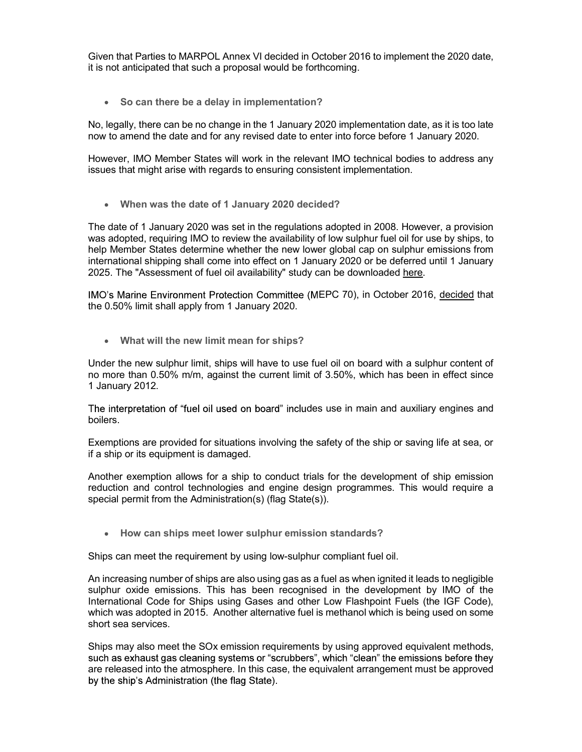Given that Parties to MARPOL Annex VI decided in October 2016 to implement the 2020 date, it is not anticipated that such a proposal would be forthcoming.

• So can there be a delay in implementation?

No, legally, there can be no change in the 1 January 2020 implementation date, as it is too late now to amend the date and for any revised date to enter into force before 1 January 2020.

However, IMO Member States will work in the relevant IMO technical bodies to address any issues that might arise with regards to ensuring consistent implementation.

When was the date of 1 January 2020 decided?

The date of 1 January 2020 was set in the regulations adopted in 2008. However, a provision was adopted, requiring IMO to review the availability of low sulphur fuel oil for use by ships, to help Member States determine whether the new lower global cap on sulphur emissions from international shipping shall come into effect on 1 January 2020 or be deferred until 1 January 2025. The "Assessment of fuel oil availability" study can be downloaded here.

IMO's Marine Environment Protection Committee (MEPC 70), in October 2016, decided that the 0.50% limit shall apply from 1 January 2020.

What will the new limit mean for ships?

Under the new sulphur limit, ships will have to use fuel oil on board with a sulphur content of no more than 0.50% m/m, against the current limit of 3.50%, which has been in effect since 1 January 2012.

The interpretation of "fuel oil used on board" includes use in main and auxiliary engines and boilers.

Exemptions are provided for situations involving the safety of the ship or saving life at sea, or if a ship or its equipment is damaged.

Another exemption allows for a ship to conduct trials for the development of ship emission reduction and control technologies and engine design programmes. This would require a special permit from the Administration(s) (flag State(s)).

• How can ships meet lower sulphur emission standards?

Ships can meet the requirement by using low-sulphur compliant fuel oil.

An increasing number of ships are also using gas as a fuel as when ignited it leads to negligible sulphur oxide emissions. This has been recognised in the development by IMO of the International Code for Ships using Gases and other Low Flashpoint Fuels (the IGF Code), which was adopted in 2015. Another alternative fuel is methanol which is being used on some short sea services.

Ships may also meet the SOx emission requirements by using approved equivalent methods, such as exhaust gas cleaning systems or "scrubbers", which "clean" the emissions before they are released into the atmosphere. In this case, the equivalent arrangement must be approved by the ship's Administration (the flag State).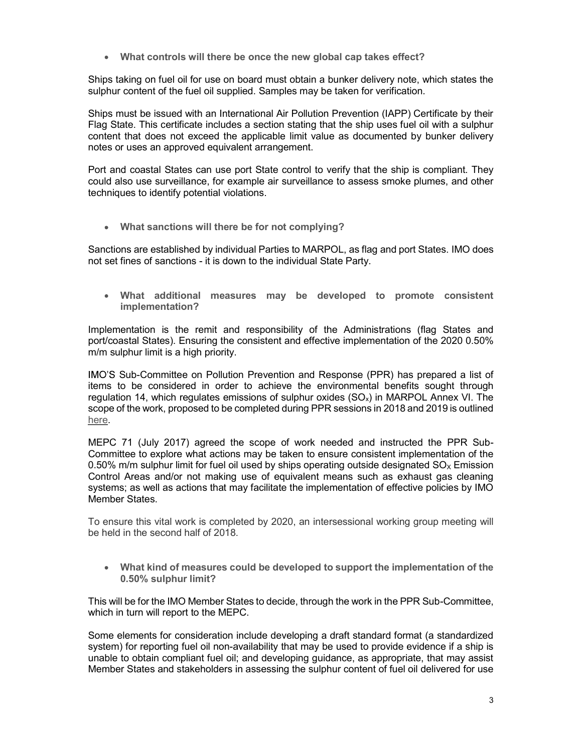What controls will there be once the new global cap takes effect?

Ships taking on fuel oil for use on board must obtain a bunker delivery note, which states the sulphur content of the fuel oil supplied. Samples may be taken for verification.

Ships must be issued with an International Air Pollution Prevention (IAPP) Certificate by their Flag State. This certificate includes a section stating that the ship uses fuel oil with a sulphur content that does not exceed the applicable limit value as documented by bunker delivery notes or uses an approved equivalent arrangement.

Port and coastal States can use port State control to verify that the ship is compliant. They could also use surveillance, for example air surveillance to assess smoke plumes, and other techniques to identify potential violations.

What sanctions will there be for not complying?

Sanctions are established by individual Parties to MARPOL, as flag and port States. IMO does not set fines of sanctions - it is down to the individual State Party.

What additional measures may be developed to promote consistent implementation?

Implementation is the remit and responsibility of the Administrations (flag States and port/coastal States). Ensuring the consistent and effective implementation of the 2020 0.50% m/m sulphur limit is a high priority.

IMO'S Sub-Committee on Pollution Prevention and Response (PPR) has prepared a list of items to be considered in order to achieve the environmental benefits sought through regulation 14, which regulates emissions of sulphur oxides  $(SO<sub>x</sub>)$  in MARPOL Annex VI. The scope of the work, proposed to be completed during PPR sessions in 2018 and 2019 is outlined here.<br>MEPC 71 (July 2017) agreed the scope of work needed and instructed the PPR Sub-

Committee to explore what actions may be taken to ensure consistent implementation of the 0.50% m/m sulphur limit for fuel oil used by ships operating outside designated  $SO<sub>x</sub>$  Emission Control Areas and/or not making use of equivalent means such as exhaust gas cleaning systems; as well as actions that may facilitate the implementation of effective policies by IMO Member States.

To ensure this vital work is completed by 2020, an intersessional working group meeting will be held in the second half of 2018.

What kind of measures could be developed to support the implementation of the 0.50% sulphur limit?

This will be for the IMO Member States to decide, through the work in the PPR Sub-Committee, which in turn will report to the MEPC.

Some elements for consideration include developing a draft standard format (a standardized system) for reporting fuel oil non-availability that may be used to provide evidence if a ship is unable to obtain compliant fuel oil; and developing guidance, as appropriate, that may assist Member States and stakeholders in assessing the sulphur content of fuel oil delivered for use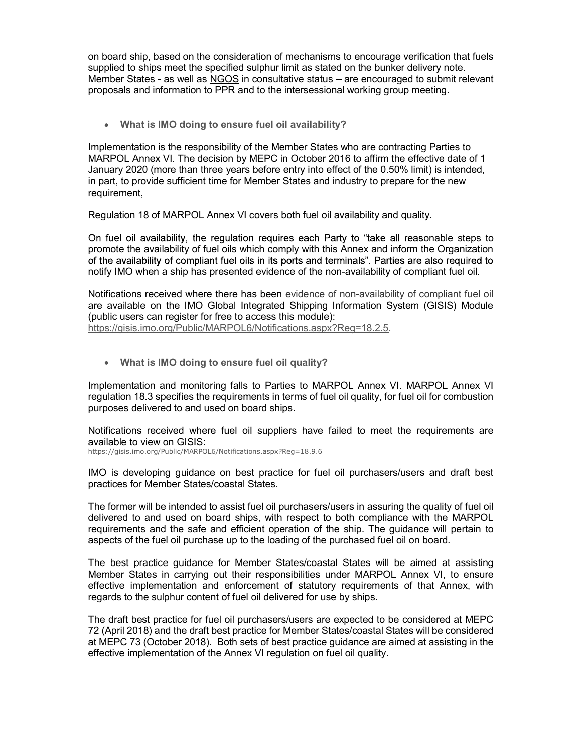on board ship, based on the consideration of mechanisms to encourage verification that fuels supplied to ships meet the specified sulphur limit as stated on the bunker delivery note. Member States - as well as NGOS in consultative status - are encouraged to submit relevant proposals and information to PPR and to the intersessional working group meeting.

What is IMO doing to ensure fuel oil availability?

Implementation is the responsibility of the Member States who are contracting Parties to MARPOL Annex VI. The decision by MEPC in October 2016 to affirm the effective date of 1 January 2020 (more than three years before entry into effect of the 0.50% limit) is intended, in part, to provide sufficient time for Member States and industry to prepare for the new requirement,

Regulation 18 of MARPOL Annex VI covers both fuel oil availability and quality.

On fuel oil availability, the regulation reguires each Party to "take all reasonable steps to promote the availability of fuel oils which comply with this Annex and inform the Organization of the availability of compliant fuel oils in its ports and terminals". Parties are also required to notify IMO when a ship has presented evidence of the non-availability of compliant fuel oil.

Notifications received where there has been evidence of non-availability of compliant fuel oil are available on the IMO Global Integrated Shipping Information System (GISIS) Module (public users can register for free to access this module): https://gisis.imo.org/Public/MARPOL6/Notifications.aspx?Reg=18.2.5.

What is IMO doing to ensure fuel oil quality?

Implementation and monitoring falls to Parties to MARPOL Annex VI. MARPOL Annex VI regulation 18.3 specifies the requirements in terms of fuel oil quality, for fuel oil for combustion purposes delivered to and used on board ships.

Notifications received where fuel oil suppliers have failed to meet the requirements are available to view on GISIS:

https://gisis.imo.org/Public/MARPOL6/Notifications.aspx?Reg=18.9.6

IMO is developing guidance on best practice for fuel oil purchasers/users and draft best practices for Member States/coastal States.

The former will be intended to assist fuel oil purchasers/users in assuring the quality of fuel oil delivered to and used on board ships, with respect to both compliance with the MARPOL requirements and the safe and efficient operation of the ship. The guidance will pertain to aspects of the fuel oil purchase up to the loading of the purchased fuel oil on board.

The best practice guidance for Member States/coastal States will be aimed at assisting Member States in carrying out their responsibilities under MARPOL Annex VI, to ensure effective implementation and enforcement of statutory requirements of that Annex, with regards to the sulphur content of fuel oil delivered for use by ships.

The draft best practice for fuel oil purchasers/users are expected to be considered at MEPC 72 (April 2018) and the draft best practice for Member States/coastal States will be considered at MEPC 73 (October 2018). Both sets of best practice guidance are aimed at assisting in the effective implementation of the Annex VI regulation on fuel oil quality.